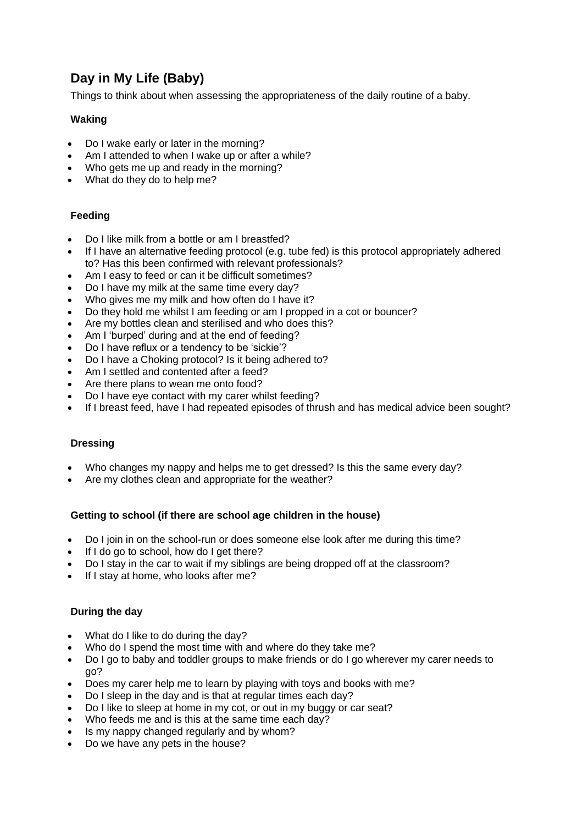# **Day in My Life (Baby)**

Things to think about when assessing the appropriateness of the daily routine of a baby.

# **Waking**

- Do I wake early or later in the morning?
- Am I attended to when I wake up or after a while?
- Who gets me up and ready in the morning?
- What do they do to help me?

# **Feeding**

- Do I like milk from a bottle or am I breastfed?
- If I have an alternative feeding protocol (e.g. tube fed) is this protocol appropriately adhered to? Has this been confirmed with relevant professionals?
- Am I easy to feed or can it be difficult sometimes?
- Do I have my milk at the same time every day?
- Who gives me my milk and how often do I have it?
- Do they hold me whilst I am feeding or am I propped in a cot or bouncer?
- Are my bottles clean and sterilised and who does this?
- Am I 'burped' during and at the end of feeding?
- Do I have reflux or a tendency to be 'sickie'?
- Do I have a Choking protocol? Is it being adhered to?
- Am I settled and contented after a feed?
- Are there plans to wean me onto food?
- Do I have eye contact with my carer whilst feeding?
- If I breast feed, have I had repeated episodes of thrush and has medical advice been sought?

# **Dressing**

- Who changes my nappy and helps me to get dressed? Is this the same every day?
- Are my clothes clean and appropriate for the weather?

# **Getting to school (if there are school age children in the house)**

- Do I join in on the school-run or does someone else look after me during this time?
- If I do go to school, how do I get there?
- Do I stay in the car to wait if my siblings are being dropped off at the classroom?
- If I stay at home, who looks after me?

# **During the day**

- What do I like to do during the day?
- Who do I spend the most time with and where do they take me?
- Do I go to baby and toddler groups to make friends or do I go wherever my carer needs to go?
- Does my carer help me to learn by playing with toys and books with me?
- Do I sleep in the day and is that at regular times each day?
- Do I like to sleep at home in my cot, or out in my buggy or car seat?
- Who feeds me and is this at the same time each day?
- Is my nappy changed regularly and by whom?
- Do we have any pets in the house?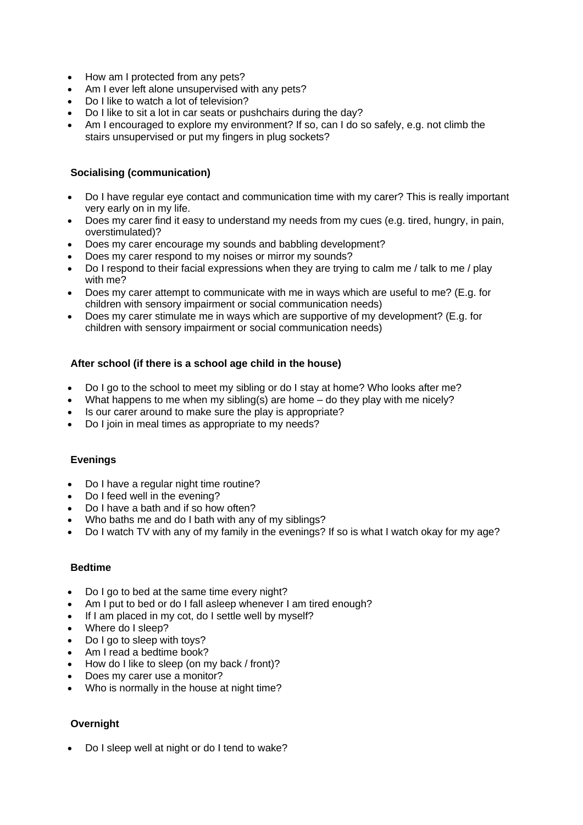- How am I protected from any pets?
- Am I ever left alone unsupervised with any pets?
- Do I like to watch a lot of television?
- Do I like to sit a lot in car seats or pushchairs during the day?
- Am I encouraged to explore my environment? If so, can I do so safely, e.g. not climb the stairs unsupervised or put my fingers in plug sockets?

## **Socialising (communication)**

- Do I have regular eye contact and communication time with my carer? This is really important very early on in my life.
- Does my carer find it easy to understand my needs from my cues (e.g. tired, hungry, in pain, overstimulated)?
- Does my carer encourage my sounds and babbling development?
- Does my carer respond to my noises or mirror my sounds?
- Do I respond to their facial expressions when they are trying to calm me / talk to me / play with me?
- Does my carer attempt to communicate with me in ways which are useful to me? (E.g. for children with sensory impairment or social communication needs)
- Does my carer stimulate me in ways which are supportive of my development? (E.g. for children with sensory impairment or social communication needs)

## **After school (if there is a school age child in the house)**

- Do I go to the school to meet my sibling or do I stay at home? Who looks after me?
- What happens to me when my sibling(s) are home  $-$  do they play with me nicely?
- Is our carer around to make sure the play is appropriate?
- Do I join in meal times as appropriate to my needs?

#### **Evenings**

- Do I have a regular night time routine?
- Do I feed well in the evening?
- Do I have a bath and if so how often?
- Who baths me and do I bath with any of my siblings?
- Do I watch TV with any of my family in the evenings? If so is what I watch okay for my age?

#### **Bedtime**

- Do I go to bed at the same time every night?
- Am I put to bed or do I fall asleep whenever I am tired enough?
- If I am placed in my cot, do I settle well by myself?
- Where do I sleep?
- Do I go to sleep with toys?
- Am I read a bedtime book?
- How do I like to sleep (on my back / front)?
- Does my carer use a monitor?
- Who is normally in the house at night time?

# **Overnight**

• Do I sleep well at night or do I tend to wake?